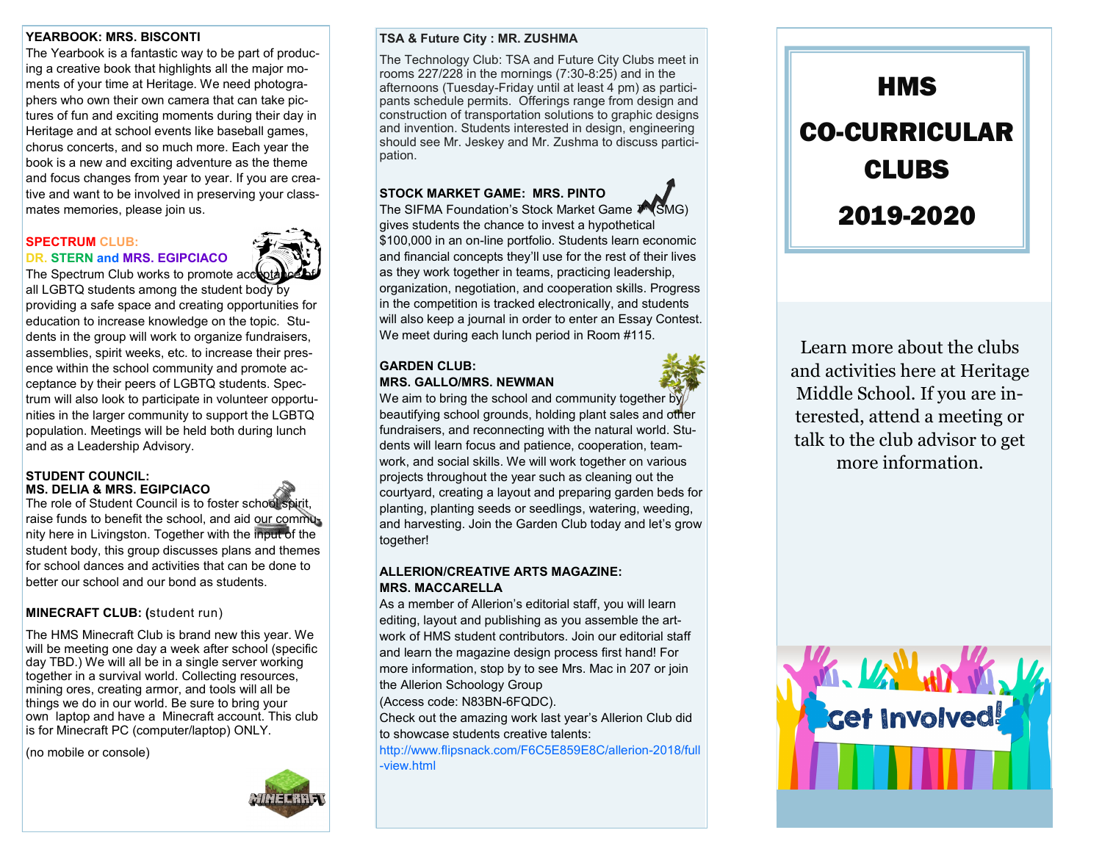## **YEARBOOK: MRS. BISCONTI**

The Yearbook is a fantastic way to be part of producing a creative book that highlights all the major moments of your time at Heritage. We need photographers who own their own camera that can take pictures of fun and exciting moments during their day in Heritage and at school events like baseball games, chorus concerts, and so much more. Each year the book is a new and exciting adventure as the theme and focus changes from year to year. If you are creative and want to be involved in preserving your classmates memories, please join us.

### **SPECTRUM CLUB: DR. STERN and MRS. EGIPCIACO**



all LGBTQ students among the student body by providing a safe space and creating opportunities for education to increase knowledge on the topic. Students in the group will work to organize fundraisers, assemblies, spirit weeks, etc. to increase their presence within the school community and promote acceptance by their peers of LGBTQ students. Spectrum will also look to participate in volunteer opportunities in the larger community to support the LGBTQ population. Meetings will be held both during lunch and as a Leadership Advisory.

### **STUDENT COUNCIL: MS. DELIA & MRS. EGIPCIACO**

The role of Student Council is to foster school spirit, raise funds to benefit the school, and aid our community here in Livingston. Together with the input of the student body, this group discusses plans and themes for school dances and activities that can be done to better our school and our bond as students.

# **MINECRAFT CLUB: (**student run)

The HMS Minecraft Club is brand new this year. We will be meeting one day a week after school (specific day TBD.) We will all be in a single server working together in a survival world. Collecting resources, mining ores, creating armor, and tools will all be things we do in our world. Be sure to bring your own laptop and have a Minecraft account. This club is for Minecraft PC (computer/laptop) ONLY.

(no mobile or console)



## **TSA & Future City : MR. ZUSHMA**

The Technology Club: TSA and Future City Clubs meet in rooms 227/228 in the mornings (7:30-8:25) and in the afternoons (Tuesday-Friday until at least 4 pm) as participants schedule permits. Offerings range from design and construction of transportation solutions to graphic designs and invention. Students interested in design, engineering should see Mr. Jeskey and Mr. Zushma to discuss participation.

# **STOCK MARKET GAME: MRS. PINTO**

The SIFMA Foundation's Stock Market Game ™ (SMG) gives students the chance to invest a hypothetical \$100,000 in an on-line portfolio. Students learn economic and financial concepts they'll use for the rest of their lives as they work together in teams, practicing leadership, organization, negotiation, and cooperation skills. Progress in the competition is tracked electronically, and students will also keep a journal in order to enter an Essay Contest. We meet during each lunch period in Room #115.

### **GARDEN CLUB: MRS. GALLO/MRS. NEWMAN**

We aim to bring the school and community together by beautifying school grounds, holding plant sales and other fundraisers, and reconnecting with the natural world. Students will learn focus and patience, cooperation, teamwork, and social skills. We will work together on various projects throughout the year such as cleaning out the courtyard, creating a layout and preparing garden beds for planting, planting seeds or seedlings, watering, weeding, and harvesting. Join the Garden Club today and let's grow together!

## **ALLERION/CREATIVE ARTS MAGAZINE: MRS. MACCARELLA**

As a member of Allerion's editorial staff, you will learn editing, layout and publishing as you assemble the artwork of HMS student contributors. Join our editorial staff and learn the magazine design process first hand! For more information, stop by to see Mrs. Mac in 207 or join the Allerion Schoology Group

(Access code: N83BN-6FQDC).

Check out the amazing work last year's Allerion Club did to showcase students creative talents:

http://www.flipsnack.com/F6C5E859E8C/allerion-2018/full -view.html



Learn more about the clubs and activities here at Heritage Middle School. If you are interested, attend a meeting or talk to the club advisor to get more information.